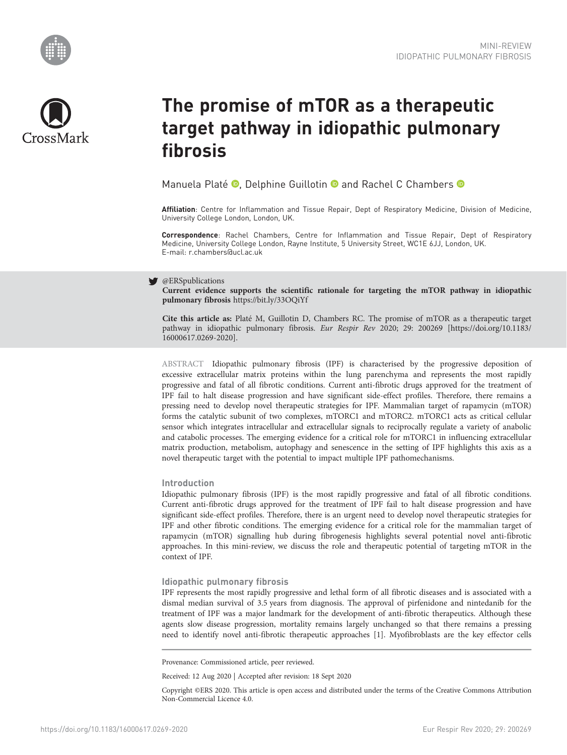



# The promise of mTOR as a therapeutic target pathway in idiopathic pulmonary fibrosis

Manuela Platé <sup>®</sup>, Delphine Guillotin <sup>®</sup> and Rachel C Chambers <sup>®</sup>

Affiliation: Centre for Inflammation and Tissue Repair, Dept of Respiratory Medicine, Division of Medicine, University College London, London, UK.

Correspondence: Rachel Chambers, Centre for Inflammation and Tissue Repair, Dept of Respiratory Medicine, University College London, Rayne Institute, 5 University Street, WC1E 6JJ, London, UK. E-mail: [r.chambers@ucl.ac.uk](mailto:r.chambers@ucl.ac.uk)

## @ERSpublications

Current evidence supports the scientific rationale for targeting the mTOR pathway in idiopathic pulmonary fibrosis <https://bit.ly/33OQiYf>

Cite this article as: Platé M, Guillotin D, Chambers RC. The promise of mTOR as a therapeutic target pathway in idiopathic pulmonary fibrosis. Eur Respir Rev 2020; 29: 200269 [\[https://doi.org/10.1183/](https://doi.org/10.1183/16000617.0269-2020) [16000617.0269-2020\].](https://doi.org/10.1183/16000617.0269-2020)

ABSTRACT Idiopathic pulmonary fibrosis (IPF) is characterised by the progressive deposition of excessive extracellular matrix proteins within the lung parenchyma and represents the most rapidly progressive and fatal of all fibrotic conditions. Current anti-fibrotic drugs approved for the treatment of IPF fail to halt disease progression and have significant side-effect profiles. Therefore, there remains a pressing need to develop novel therapeutic strategies for IPF. Mammalian target of rapamycin (mTOR) forms the catalytic subunit of two complexes, mTORC1 and mTORC2. mTORC1 acts as critical cellular sensor which integrates intracellular and extracellular signals to reciprocally regulate a variety of anabolic and catabolic processes. The emerging evidence for a critical role for mTORC1 in influencing extracellular matrix production, metabolism, autophagy and senescence in the setting of IPF highlights this axis as a novel therapeutic target with the potential to impact multiple IPF pathomechanisms.

## Introduction

Idiopathic pulmonary fibrosis (IPF) is the most rapidly progressive and fatal of all fibrotic conditions. Current anti-fibrotic drugs approved for the treatment of IPF fail to halt disease progression and have significant side-effect profiles. Therefore, there is an urgent need to develop novel therapeutic strategies for IPF and other fibrotic conditions. The emerging evidence for a critical role for the mammalian target of rapamycin (mTOR) signalling hub during fibrogenesis highlights several potential novel anti-fibrotic approaches. In this mini-review, we discuss the role and therapeutic potential of targeting mTOR in the context of IPF.

## Idiopathic pulmonary fibrosis

IPF represents the most rapidly progressive and lethal form of all fibrotic diseases and is associated with a dismal median survival of 3.5 years from diagnosis. The approval of pirfenidone and nintedanib for the treatment of IPF was a major landmark for the development of anti-fibrotic therapeutics. Although these agents slow disease progression, mortality remains largely unchanged so that there remains a pressing need to identify novel anti-fibrotic therapeutic approaches [[1](#page-5-0)]. Myofibroblasts are the key effector cells

Provenance: Commissioned article, peer reviewed.

Received: 12 Aug 2020 | Accepted after revision: 18 Sept 2020

Copyright ©ERS 2020. This article is open access and distributed under the terms of the Creative Commons Attribution Non-Commercial Licence 4.0.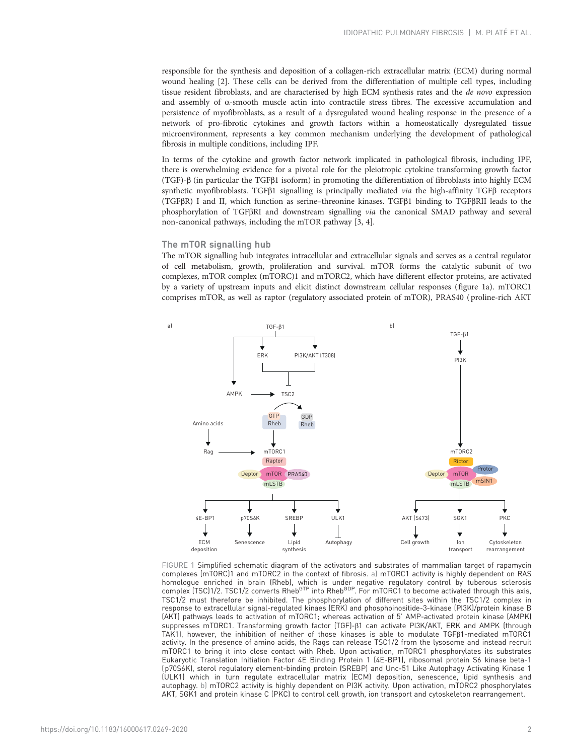<span id="page-1-0"></span>responsible for the synthesis and deposition of a collagen-rich extracellular matrix (ECM) during normal wound healing [[2](#page-5-0)]. These cells can be derived from the differentiation of multiple cell types, including tissue resident fibroblasts, and are characterised by high ECM synthesis rates and the de novo expression and assembly of  $\alpha$ -smooth muscle actin into contractile stress fibres. The excessive accumulation and persistence of myofibroblasts, as a result of a dysregulated wound healing response in the presence of a network of pro-fibrotic cytokines and growth factors within a homeostatically dysregulated tissue microenvironment, represents a key common mechanism underlying the development of pathological fibrosis in multiple conditions, including IPF.

In terms of the cytokine and growth factor network implicated in pathological fibrosis, including IPF, there is overwhelming evidence for a pivotal role for the pleiotropic cytokine transforming growth factor (TGF)-β (in particular the TGFβ1 isoform) in promoting the differentiation of fibroblasts into highly ECM synthetic myofibroblasts. TGFβ1 signalling is principally mediated via the high-affinity TGFβ receptors (TGFβR) I and II, which function as serine–threonine kinases. TGFβ1 binding to TGFβRII leads to the phosphorylation of TGFβRI and downstream signalling via the canonical SMAD pathway and several non-canonical pathways, including the mTOR pathway [\[3, 4\]](#page-5-0).

# The mTOR signalling hub

The mTOR signalling hub integrates intracellular and extracellular signals and serves as a central regulator of cell metabolism, growth, proliferation and survival. mTOR forms the catalytic subunit of two complexes, mTOR complex (mTORC)1 and mTORC2, which have different effector proteins, are activated by a variety of upstream inputs and elicit distinct downstream cellular responses (figure 1a). mTORC1 comprises mTOR, as well as raptor (regulatory associated protein of mTOR), PRAS40 ( proline-rich AKT



FIGURE 1 Simplified schematic diagram of the activators and substrates of mammalian target of rapamycin complexes (mTORC)1 and mTORC2 in the context of fibrosis. a) mTORC1 activity is highly dependent on RAS homologue enriched in brain (Rheb), which is under negative regulatory control by tuberous sclerosis<br>complex (TSC)1/2. TSC1/2 converts Rheb<sup>GTP</sup> into Rheb<sup>GDP</sup>. For mTORC1 to become activated through this axis, TSC1/2 must therefore be inhibited. The phosphorylation of different sites within the TSC1/2 complex in response to extracellular signal-regulated kinaes (ERK) and phosphoinositide-3-kinase (PI3K)/protein kinase B (AKT) pathways leads to activation of mTORC1; whereas activation of 5' AMP-activated protein kinase (AMPK) suppresses mTORC1. Transforming growth factor (TGF)-β1 can activate PI3K/AKT, ERK and AMPK (through TAK1), however, the inhibition of neither of those kinases is able to modulate TGFβ1-mediated mTORC1 activity. In the presence of amino acids, the Rags can release TSC1/2 from the lysosome and instead recruit mTORC1 to bring it into close contact with Rheb. Upon activation, mTORC1 phosphorylates its substrates Eukaryotic Translation Initiation Factor 4E Binding Protein 1 (4E-BP1), ribosomal protein S6 kinase beta-1 (p70S6K), sterol regulatory element-binding protein (SREBP) and Unc-51 Like Autophagy Activating Kinase 1 (ULK1) which in turn regulate extracellular matrix (ECM) deposition, senescence, lipid synthesis and autophagy. b) mTORC2 activity is highly dependent on PI3K activity. Upon activation, mTORC2 phosphorylates AKT, SGK1 and protein kinase C (PKC) to control cell growth, ion transport and cytoskeleton rearrangement.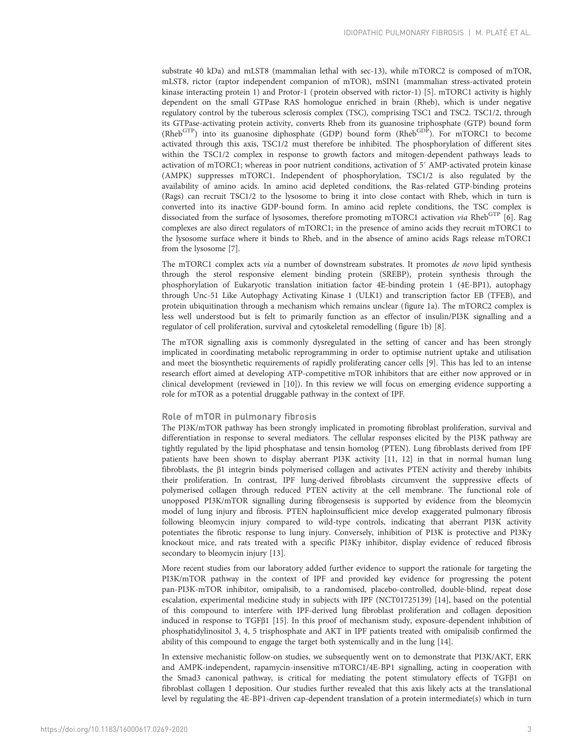substrate 40 kDa) and mLST8 (mammalian lethal with sec-13), while mTORC2 is composed of mTOR, mLST8, rictor (raptor independent companion of mTOR), mSIN1 (mammalian stress-activated protein kinase interacting protein 1) and Protor-1 (protein observed with rictor-1) [[5\]](#page-5-0). mTORC1 activity is highly dependent on the small GTPase RAS homologue enriched in brain (Rheb), which is under negative regulatory control by the tuberous sclerosis complex (TSC), comprising TSC1 and TSC2. TSC1/2, through its GTPase-activating protein activity, converts Rheb from its guanosine triphosphate (GTP) bound form  $(Rheb<sup>GTP</sup>)$  into its guanosine diphosphate (GDP) bound form  $(Rheb<sup>GDP</sup>)$ . For mTORC1 to become activated through this axis, TSC1/2 must therefore be inhibited. The phosphorylation of different sites within the TSC1/2 complex in response to growth factors and mitogen-dependent pathways leads to activation of mTORC1; whereas in poor nutrient conditions, activation of 5′ AMP-activated protein kinase (AMPK) suppresses mTORC1. Independent of phosphorylation, TSC1/2 is also regulated by the availability of amino acids. In amino acid depleted conditions, the Ras-related GTP-binding proteins (Rags) can recruit TSC1/2 to the lysosome to bring it into close contact with Rheb, which in turn is converted into its inactive GDP-bound form. In amino acid replete conditions, the TSC complex is dissociated from the surface of lysosomes, therefore promoting mTORC1 activation via RhebGTP [\[6\]](#page-5-0). Rag complexes are also direct regulators of mTORC1; in the presence of amino acids they recruit mTORC1 to the lysosome surface where it binds to Rheb, and in the absence of amino acids Rags release mTORC1 from the lysosome [[7](#page-5-0)].

The mTORC1 complex acts via a number of downstream substrates. It promotes de novo lipid synthesis through the sterol responsive element binding protein (SREBP), protein synthesis through the phosphorylation of Eukaryotic translation initiation factor 4E-binding protein 1 (4E-BP1), autophagy through Unc-51 Like Autophagy Activating Kinase 1 (ULK1) and transcription factor EB (TFEB), and protein ubiquitination through a mechanism which remains unclear [\(figure 1a\)](#page-1-0). The mTORC2 complex is less well understood but is felt to primarily function as an effector of insulin/PI3K signalling and a regulator of cell proliferation, survival and cytoskeletal remodelling ([figure 1b\)](#page-1-0) [[8\]](#page-5-0).

The mTOR signalling axis is commonly dysregulated in the setting of cancer and has been strongly implicated in coordinating metabolic reprogramming in order to optimise nutrient uptake and utilisation and meet the biosynthetic requirements of rapidly proliferating cancer cells [[9](#page-5-0)]. This has led to an intense research effort aimed at developing ATP-competitive mTOR inhibitors that are either now approved or in clinical development (reviewed in [[10](#page-5-0)]). In this review we will focus on emerging evidence supporting a role for mTOR as a potential druggable pathway in the context of IPF.

#### Role of mTOR in pulmonary fibrosis

The PI3K/mTOR pathway has been strongly implicated in promoting fibroblast proliferation, survival and differentiation in response to several mediators. The cellular responses elicited by the PI3K pathway are tightly regulated by the lipid phosphatase and tensin homolog (PTEN). Lung fibroblasts derived from IPF patients have been shown to display aberrant PI3K activity [[11](#page-5-0), [12\]](#page-5-0) in that in normal human lung fibroblasts, the β1 integrin binds polymerised collagen and activates PTEN activity and thereby inhibits their proliferation. In contrast, IPF lung-derived fibroblasts circumvent the suppressive effects of polymerised collagen through reduced PTEN activity at the cell membrane. The functional role of unopposed PI3K/mTOR signalling during fibrogensesis is supported by evidence from the bleomycin model of lung injury and fibrosis. PTEN haploinsufficient mice develop exaggerated pulmonary fibrosis following bleomycin injury compared to wild-type controls, indicating that aberrant PI3K activity potentiates the fibrotic response to lung injury. Conversely, inhibition of PI3K is protective and PI3Kγ knockout mice, and rats treated with a specific PI3Kγ inhibitor, display evidence of reduced fibrosis secondary to bleomycin injury [\[13\]](#page-5-0).

More recent studies from our laboratory added further evidence to support the rationale for targeting the PI3K/mTOR pathway in the context of IPF and provided key evidence for progressing the potent pan-PI3K-mTOR inhibitor, omipalisib, to a randomised, placebo-controlled, double-blind, repeat dose escalation, experimental medicine study in subjects with IPF (NCT01725139) [[14](#page-5-0)], based on the potential of this compound to interfere with IPF-derived lung fibroblast proliferation and collagen deposition induced in response to TGFβ1 [\[15](#page-5-0)]. In this proof of mechanism study, exposure-dependent inhibition of phosphatidylinositol 3, 4, 5 trisphosphate and AKT in IPF patients treated with omipalisib confirmed the ability of this compound to engage the target both systemically and in the lung [\[14](#page-5-0)].

In extensive mechanistic follow-on studies, we subsequently went on to demonstrate that PI3K/AKT, ERK and AMPK-independent, rapamycin-insensitive mTORC1/4E-BP1 signalling, acting in cooperation with the Smad3 canonical pathway, is critical for mediating the potent stimulatory effects of TGFβ1 on fibroblast collagen I deposition. Our studies further revealed that this axis likely acts at the translational level by regulating the 4E-BP1-driven cap-dependent translation of a protein intermediate(s) which in turn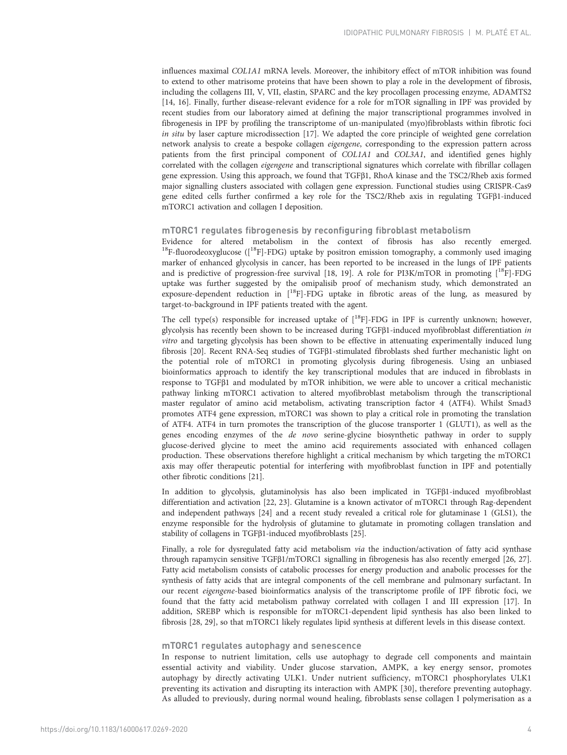influences maximal COL1A1 mRNA levels. Moreover, the inhibitory effect of mTOR inhibition was found to extend to other matrisome proteins that have been shown to play a role in the development of fibrosis, including the collagens III, V, VII, elastin, SPARC and the key procollagen processing enzyme, ADAMTS2 [\[14, 16\]](#page-5-0). Finally, further disease-relevant evidence for a role for mTOR signalling in IPF was provided by recent studies from our laboratory aimed at defining the major transcriptional programmes involved in fibrogenesis in IPF by profiling the transcriptome of un-manipulated (myo)fibroblasts within fibrotic foci in situ by laser capture microdissection [\[17](#page-5-0)]. We adapted the core principle of weighted gene correlation network analysis to create a bespoke collagen eigengene, corresponding to the expression pattern across patients from the first principal component of COL1A1 and COL3A1, and identified genes highly correlated with the collagen *eigengene* and transcriptional signatures which correlate with fibrillar collagen gene expression. Using this approach, we found that TGFβ1, RhoA kinase and the TSC2/Rheb axis formed major signalling clusters associated with collagen gene expression. Functional studies using CRISPR-Cas9 gene edited cells further confirmed a key role for the TSC2/Rheb axis in regulating TGFβ1-induced mTORC1 activation and collagen I deposition.

# mTORC1 regulates fibrogenesis by reconfiguring fibroblast metabolism

Evidence for altered metabolism in the context of fibrosis has also recently emerged.  $^{18}$ F-fluorodeoxyglucose ([ $^{18}$ F]-FDG) uptake by positron emission tomography, a commonly used imaging marker of enhanced glycolysis in cancer, has been reported to be increased in the lungs of IPF patients and is predictive of progression-free survival [[18](#page-5-0), [19\]](#page-5-0). A role for PI3K/mTOR in promoting  $[^{18}F]$ -FDG uptake was further suggested by the omipalisib proof of mechanism study, which demonstrated an exposure-dependent reduction in  $[{}^{18}F]$ -FDG uptake in fibrotic areas of the lung, as measured by target-to-background in IPF patients treated with the agent.

The cell type(s) responsible for increased uptake of  $\binom{18}{1}$ -FDG in IPF is currently unknown; however, glycolysis has recently been shown to be increased during TGFβ1-induced myofibroblast differentiation in vitro and targeting glycolysis has been shown to be effective in attenuating experimentally induced lung fibrosis [[20](#page-5-0)]. Recent RNA-Seq studies of TGFβ1-stimulated fibroblasts shed further mechanistic light on the potential role of mTORC1 in promoting glycolysis during fibrogenesis. Using an unbiased bioinformatics approach to identify the key transcriptional modules that are induced in fibroblasts in response to TGFβ1 and modulated by mTOR inhibition, we were able to uncover a critical mechanistic pathway linking mTORC1 activation to altered myofibroblast metabolism through the transcriptional master regulator of amino acid metabolism, activating transcription factor 4 (ATF4). Whilst Smad3 promotes ATF4 gene expression, mTORC1 was shown to play a critical role in promoting the translation of ATF4. ATF4 in turn promotes the transcription of the glucose transporter 1 (GLUT1), as well as the genes encoding enzymes of the de novo serine-glycine biosynthetic pathway in order to supply glucose-derived glycine to meet the amino acid requirements associated with enhanced collagen production. These observations therefore highlight a critical mechanism by which targeting the mTORC1 axis may offer therapeutic potential for interfering with myofibroblast function in IPF and potentially other fibrotic conditions [[21\]](#page-5-0).

In addition to glycolysis, glutaminolysis has also been implicated in TGFβ1-induced myofibroblast differentiation and activation [[22](#page-5-0), [23\]](#page-5-0). Glutamine is a known activator of mTORC1 through Rag-dependent and independent pathways [[24](#page-5-0)] and a recent study revealed a critical role for glutaminase 1 (GLS1), the enzyme responsible for the hydrolysis of glutamine to glutamate in promoting collagen translation and stability of collagens in TGFβ1-induced myofibroblasts [\[25\]](#page-6-0).

Finally, a role for dysregulated fatty acid metabolism via the induction/activation of fatty acid synthase through rapamycin sensitive TGFβ1/mTORC1 signalling in fibrogenesis has also recently emerged [\[26, 27](#page-6-0)]. Fatty acid metabolism consists of catabolic processes for energy production and anabolic processes for the synthesis of fatty acids that are integral components of the cell membrane and pulmonary surfactant. In our recent eigengene-based bioinformatics analysis of the transcriptome profile of IPF fibrotic foci, we found that the fatty acid metabolism pathway correlated with collagen I and III expression [\[17\]](#page-5-0). In addition, SREBP which is responsible for mTORC1-dependent lipid synthesis has also been linked to fibrosis [[28](#page-6-0), [29\]](#page-6-0), so that mTORC1 likely regulates lipid synthesis at different levels in this disease context.

#### mTORC1 regulates autophagy and senescence

In response to nutrient limitation, cells use autophagy to degrade cell components and maintain essential activity and viability. Under glucose starvation, AMPK, a key energy sensor, promotes autophagy by directly activating ULK1. Under nutrient sufficiency, mTORC1 phosphorylates ULK1 preventing its activation and disrupting its interaction with AMPK [[30\]](#page-6-0), therefore preventing autophagy. As alluded to previously, during normal wound healing, fibroblasts sense collagen I polymerisation as a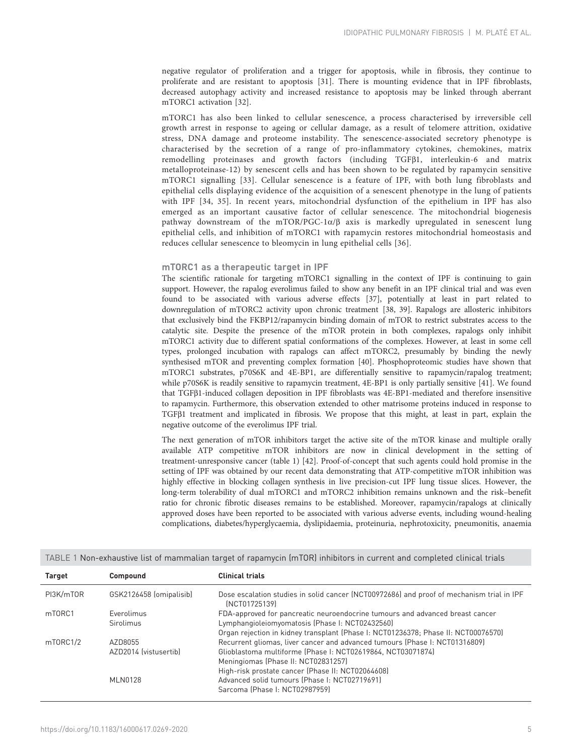negative regulator of proliferation and a trigger for apoptosis, while in fibrosis, they continue to proliferate and are resistant to apoptosis [[31\]](#page-6-0). There is mounting evidence that in IPF fibroblasts, decreased autophagy activity and increased resistance to apoptosis may be linked through aberrant mTORC1 activation [[32\]](#page-6-0).

mTORC1 has also been linked to cellular senescence, a process characterised by irreversible cell growth arrest in response to ageing or cellular damage, as a result of telomere attrition, oxidative stress, DNA damage and proteome instability. The senescence-associated secretory phenotype is characterised by the secretion of a range of pro-inflammatory cytokines, chemokines, matrix remodelling proteinases and growth factors (including TGFβ1, interleukin-6 and matrix metalloproteinase-12) by senescent cells and has been shown to be regulated by rapamycin sensitive mTORC1 signalling [\[33](#page-6-0)]. Cellular senescence is a feature of IPF, with both lung fibroblasts and epithelial cells displaying evidence of the acquisition of a senescent phenotype in the lung of patients with IPF [[34, 35\]](#page-6-0). In recent years, mitochondrial dysfunction of the epithelium in IPF has also emerged as an important causative factor of cellular senescence. The mitochondrial biogenesis pathway downstream of the mTOR/PGC-1 $\alpha$ /β axis is markedly upregulated in senescent lung epithelial cells, and inhibition of mTORC1 with rapamycin restores mitochondrial homeostasis and reduces cellular senescence to bleomycin in lung epithelial cells [[36\]](#page-6-0).

# mTORC1 as a therapeutic target in IPF

The scientific rationale for targeting mTORC1 signalling in the context of IPF is continuing to gain support. However, the rapalog everolimus failed to show any benefit in an IPF clinical trial and was even found to be associated with various adverse effects [\[37](#page-6-0)], potentially at least in part related to downregulation of mTORC2 activity upon chronic treatment [\[38, 39](#page-6-0)]. Rapalogs are allosteric inhibitors that exclusively bind the FKBP12/rapamycin binding domain of mTOR to restrict substrates access to the catalytic site. Despite the presence of the mTOR protein in both complexes, rapalogs only inhibit mTORC1 activity due to different spatial conformations of the complexes. However, at least in some cell types, prolonged incubation with rapalogs can affect mTORC2, presumably by binding the newly synthesised mTOR and preventing complex formation [\[40\]](#page-6-0). Phosphoproteomic studies have shown that mTORC1 substrates, p70S6K and 4E-BP1, are differentially sensitive to rapamycin/rapalog treatment; while p70S6K is readily sensitive to rapamycin treatment, 4E-BP1 is only partially sensitive [[41](#page-6-0)]. We found that TGFβ1-induced collagen deposition in IPF fibroblasts was 4E-BP1-mediated and therefore insensitive to rapamycin. Furthermore, this observation extended to other matrisome proteins induced in response to TGFβ1 treatment and implicated in fibrosis. We propose that this might, at least in part, explain the negative outcome of the everolimus IPF trial.

The next generation of mTOR inhibitors target the active site of the mTOR kinase and multiple orally available ATP competitive mTOR inhibitors are now in clinical development in the setting of treatment-unresponsive cancer (table 1) [[42](#page-6-0)]. Proof-of-concept that such agents could hold promise in the setting of IPF was obtained by our recent data demonstrating that ATP-competitive mTOR inhibition was highly effective in blocking collagen synthesis in live precision-cut IPF lung tissue slices. However, the long-term tolerability of dual mTORC1 and mTORC2 inhibition remains unknown and the risk–benefit ratio for chronic fibrotic diseases remains to be established. Moreover, rapamycin/rapalogs at clinically approved doses have been reported to be associated with various adverse events, including wound-healing complications, diabetes/hyperglycaemia, dyslipidaemia, proteinuria, nephrotoxicity, pneumonitis, anaemia

| <b>Target</b> | <b>Compound</b>         | <b>Clinical trials</b>                                                                                     |
|---------------|-------------------------|------------------------------------------------------------------------------------------------------------|
| PI3K/mT0R     | GSK2126458 (omipalisib) | Dose escalation studies in solid cancer (NCT00972686) and proof of mechanism trial in IPF<br>[NCT01725139] |
| mT0RC1        | Everolimus              | FDA-approved for pancreatic neuroendocrine tumours and advanced breast cancer                              |
|               | <b>Sirolimus</b>        | Lymphangioleiomyomatosis (Phase I: NCT02432560)                                                            |
|               |                         | Organ rejection in kidney transplant (Phase I: NCT01236378; Phase II: NCT00076570)                         |
| mT0RC1/2      | AZD8055                 | Recurrent gliomas, liver cancer and advanced tumours (Phase I: NCT01316809)                                |
|               | AZD2014 (vistusertib)   | Glioblastoma multiforme (Phase I: NCT02619864, NCT03071874)                                                |
|               |                         | Meningiomas (Phase II: NCT02831257)                                                                        |
|               |                         | High-risk prostate cancer (Phase II: NCT02064608)                                                          |
|               | <b>MLN0128</b>          | Advanced solid tumours (Phase I: NCT02719691)                                                              |
|               |                         | Sarcoma (Phase I: NCT02987959)                                                                             |

TABLE 1 Non-exhaustive list of mammalian target of rapamycin (mTOR) inhibitors in current and completed clinical trials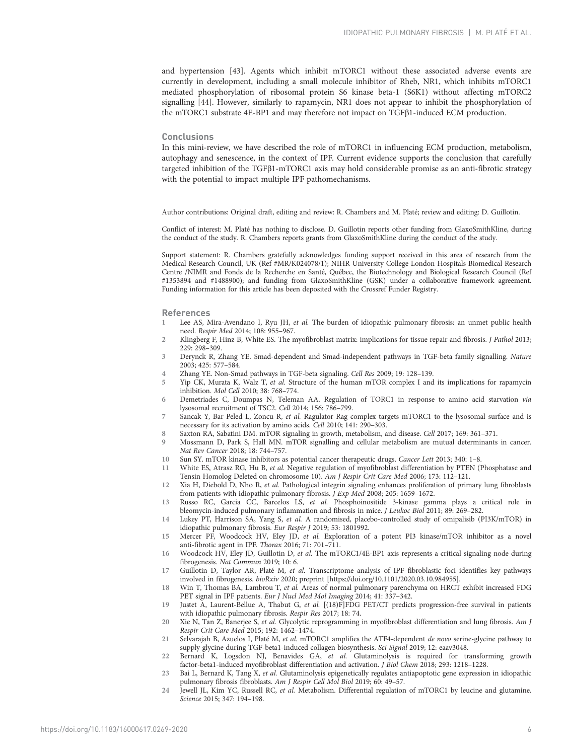<span id="page-5-0"></span>and hypertension [\[43\]](#page-6-0). Agents which inhibit mTORC1 without these associated adverse events are currently in development, including a small molecule inhibitor of Rheb, NR1, which inhibits mTORC1 mediated phosphorylation of ribosomal protein S6 kinase beta-1 (S6K1) without affecting mTORC2 signalling [[44\]](#page-6-0). However, similarly to rapamycin, NR1 does not appear to inhibit the phosphorylation of the mTORC1 substrate 4E-BP1 and may therefore not impact on TGFβ1-induced ECM production.

#### **Conclusions**

In this mini-review, we have described the role of mTORC1 in influencing ECM production, metabolism, autophagy and senescence, in the context of IPF. Current evidence supports the conclusion that carefully targeted inhibition of the TGFβ1-mTORC1 axis may hold considerable promise as an anti-fibrotic strategy with the potential to impact multiple IPF pathomechanisms.

Author contributions: Original draft, editing and review: R. Chambers and M. Platé; review and editing: D. Guillotin.

Conflict of interest: M. Platé has nothing to disclose. D. Guillotin reports other funding from GlaxoSmithKline, during the conduct of the study. R. Chambers reports grants from GlaxoSmithKline during the conduct of the study.

Support statement: R. Chambers gratefully acknowledges funding support received in this area of research from the Medical Research Council, UK (Ref #MR/K024078/1); NIHR University College London Hospitals Biomedical Research Centre /NIMR and Fonds de la Recherche en Santé, Québec, the Biotechnology and Biological Research Council (Ref #1353894 and #1488900); and funding from GlaxoSmithKline (GSK) under a collaborative framework agreement. Funding information for this article has been deposited with the [Crossref Funder Registry.](https://www.crossref.org/services/funder-registry/)

## References

- 1 Lee AS, Mira-Avendano I, Ryu JH, et al. The burden of idiopathic pulmonary fibrosis: an unmet public health need. Respir Med 2014; 108: 955–967.
- 2 Klingberg F, Hinz B, White ES. The myofibroblast matrix: implications for tissue repair and fibrosis. J Pathol 2013; 229: 298–309.
- 3 Derynck R, Zhang YE. Smad-dependent and Smad-independent pathways in TGF-beta family signalling. Nature 2003; 425: 577–584.
- 4 Zhang YE. Non-Smad pathways in TGF-beta signaling. Cell Res 2009; 19: 128–139.
- 5 Yip CK, Murata K, Walz T, et al. Structure of the human mTOR complex I and its implications for rapamycin inhibition. Mol Cell 2010; 38: 768–774.
- 6 Demetriades C, Doumpas N, Teleman AA. Regulation of TORC1 in response to amino acid starvation via lysosomal recruitment of TSC2. Cell 2014; 156: 786–799.
- 7 Sancak Y, Bar-Peled L, Zoncu R, et al. Ragulator-Rag complex targets mTORC1 to the lysosomal surface and is necessary for its activation by amino acids. Cell 2010; 141: 290–303.
- 8 Saxton RA, Sabatini DM. mTOR signaling in growth, metabolism, and disease. Cell 2017; 169: 361–371.
- 9 Mossmann D, Park S, Hall MN. mTOR signalling and cellular metabolism are mutual determinants in cancer. Nat Rev Cancer 2018; 18: 744–757.
- 10 Sun SY. mTOR kinase inhibitors as potential cancer therapeutic drugs. Cancer Lett 2013; 340: 1–8.
- 11 White ES, Atrasz RG, Hu B, et al. Negative regulation of myofibroblast differentiation by PTEN (Phosphatase and Tensin Homolog Deleted on chromosome 10). Am J Respir Crit Care Med 2006; 173: 112–121.
- 12 Xia H, Diebold D, Nho R, et al. Pathological integrin signaling enhances proliferation of primary lung fibroblasts from patients with idiopathic pulmonary fibrosis. J Exp Med 2008; 205: 1659–1672.
- 13 Russo RC, Garcia CC, Barcelos LS, et al. Phosphoinositide 3-kinase gamma plays a critical role in bleomycin-induced pulmonary inflammation and fibrosis in mice. J Leukoc Biol 2011; 89: 269–282.
- 14 Lukey PT, Harrison SA, Yang S, et al. A randomised, placebo-controlled study of omipalisib (PI3K/mTOR) in idiopathic pulmonary fibrosis. Eur Respir J 2019; 53: 1801992.
- 15 Mercer PF, Woodcock HV, Eley JD, et al. Exploration of a potent PI3 kinase/mTOR inhibitor as a novel anti-fibrotic agent in IPF. Thorax 2016; 71: 701–711.
- 16 Woodcock HV, Eley JD, Guillotin D, et al. The mTORC1/4E-BP1 axis represents a critical signaling node during fibrogenesis. Nat Commun 2019; 10: 6.
- 17 Guillotin D, Taylor AR, Platé M, et al. Transcriptome analysis of IPF fibroblastic foci identifies key pathways involved in fibrogenesis. bioRxiv 2020; preprint [\[https://doi.org/10.1101/2020.03.10.984955](https://doi.org/10.1101/2020.03.10.984955)].
- 18 Win T, Thomas BA, Lambrou T, et al. Areas of normal pulmonary parenchyma on HRCT exhibit increased FDG PET signal in IPF patients. Eur J Nucl Med Mol Imaging 2014; 41: 337–342.
- 19 Justet A, Laurent-Bellue A, Thabut G, et al. [(18)F]FDG PET/CT predicts progression-free survival in patients with idiopathic pulmonary fibrosis. Respir Res 2017; 18: 74.
- 20 Xie N, Tan Z, Banerjee S, et al. Glycolytic reprogramming in myofibroblast differentiation and lung fibrosis. Am J Respir Crit Care Med 2015; 192: 1462–1474.
- 21 Selvarajah B, Azuelos I, Platé M, et al. mTORC1 amplifies the ATF4-dependent de novo serine-glycine pathway to supply glycine during TGF-beta1-induced collagen biosynthesis. Sci Signal 2019; 12: eaav3048.
- 22 Bernard K, Logsdon NJ, Benavides GA, et al. Glutaminolysis is required for transforming growth factor-beta1-induced myofibroblast differentiation and activation. J Biol Chem 2018; 293: 1218–1228.
- 23 Bai L, Bernard K, Tang X, et al. Glutaminolysis epigenetically regulates antiapoptotic gene expression in idiopathic pulmonary fibrosis fibroblasts. Am J Respir Cell Mol Biol 2019; 60: 49–57.
- 24 Jewell JL, Kim YC, Russell RC, et al. Metabolism. Differential regulation of mTORC1 by leucine and glutamine. Science 2015; 347: 194–198.